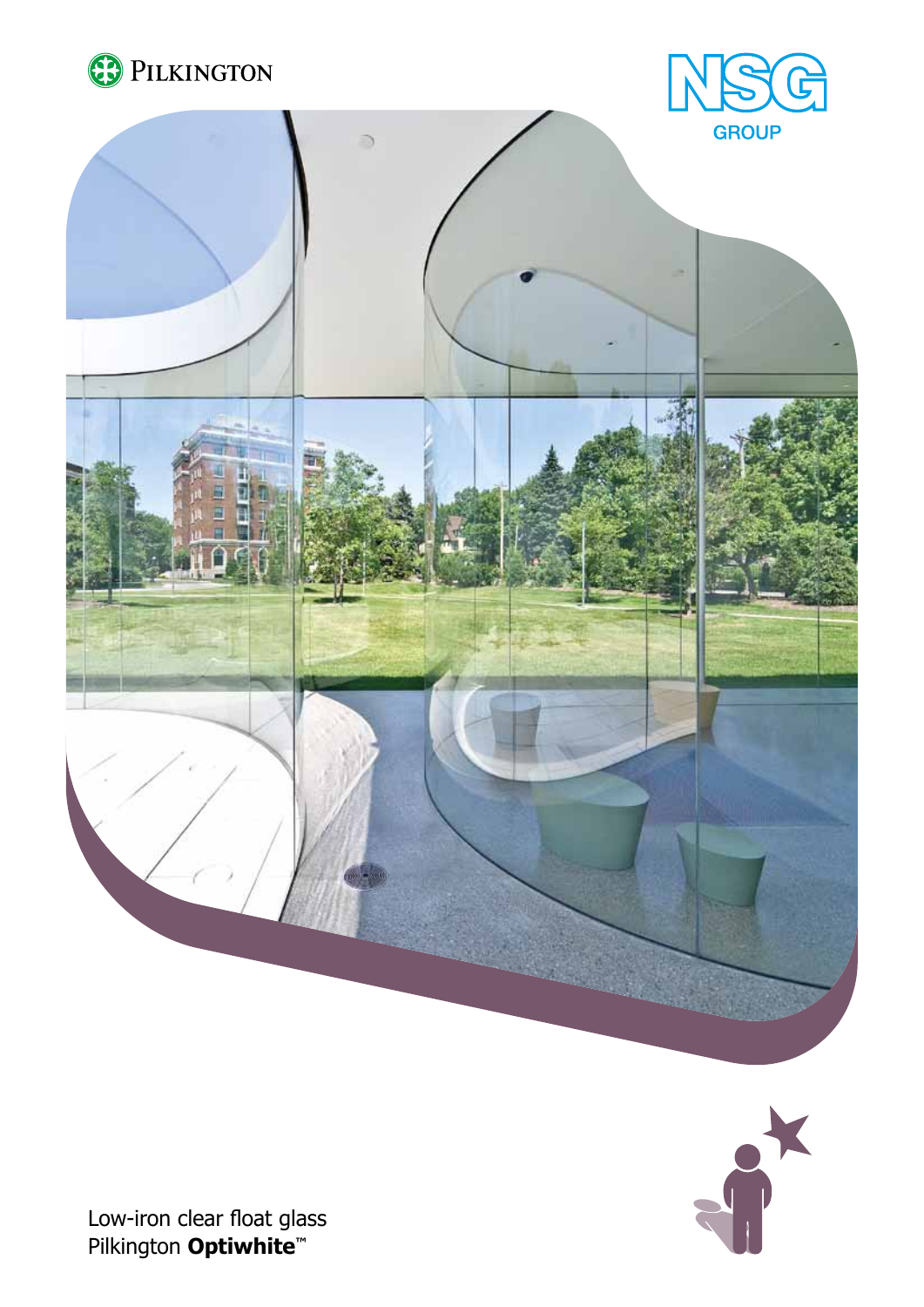







Low-iron clear float glass Pilkington **Optiwhite™**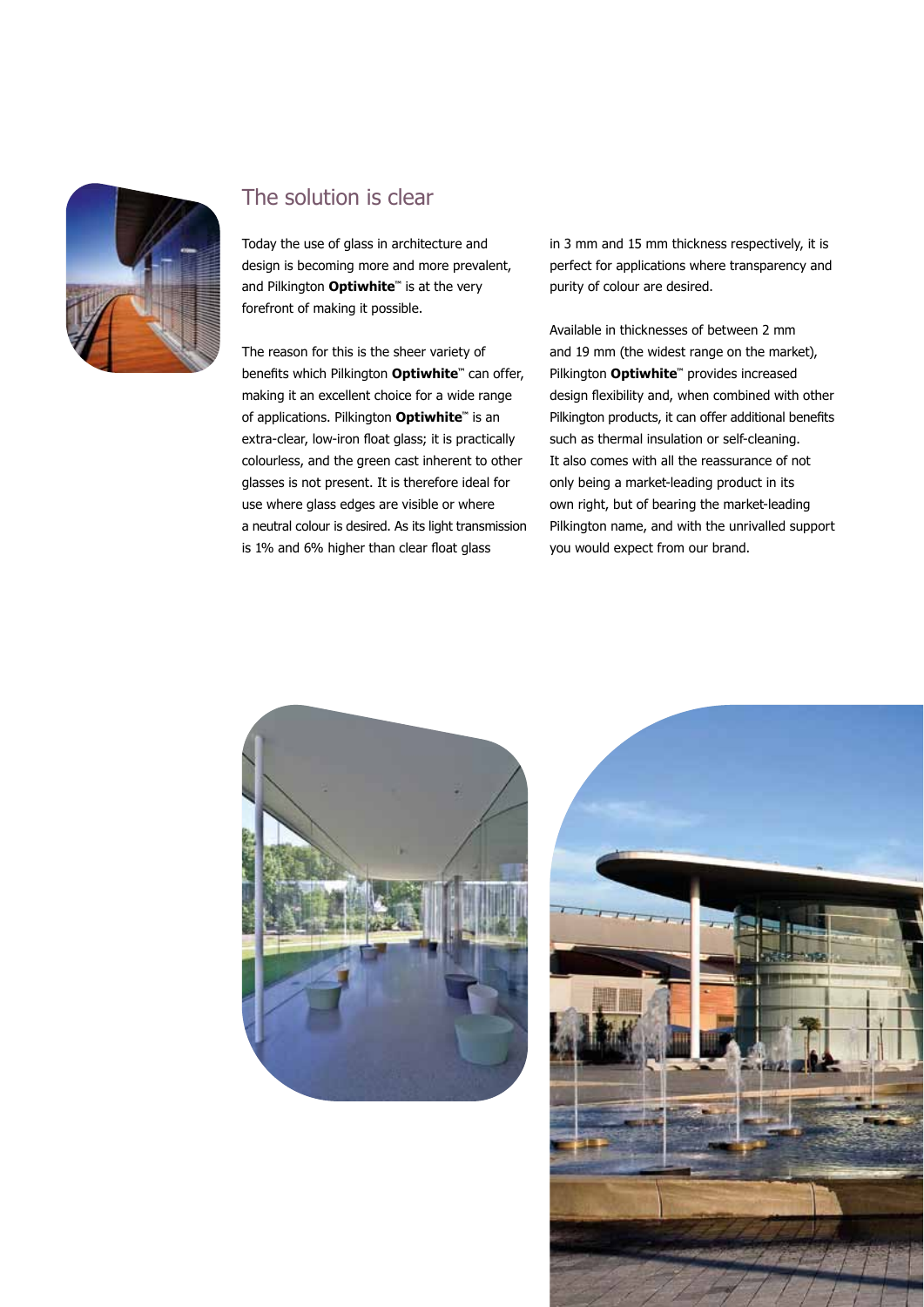

### The solution is clear

Today the use of glass in architecture and design is becoming more and more prevalent, and Pilkington **Optiwhite™** is at the very forefront of making it possible.

The reason for this is the sheer variety of benefits which Pilkington **Optiwhite™** can offer, making it an excellent choice for a wide range of applications. Pilkington **Optiwhite™** is an extra-clear, low-iron float glass; it is practically colourless, and the green cast inherent to other glasses is not present. It is therefore ideal for use where glass edges are visible or where a neutral colour is desired. As its light transmission is 1% and 6% higher than clear float glass

in 3 mm and 15 mm thickness respectively, it is perfect for applications where transparency and purity of colour are desired.

Available in thicknesses of between 2 mm and 19 mm (the widest range on the market), Pilkington **Optiwhite™** provides increased design flexibility and, when combined with other Pilkington products, it can offer additional benefits such as thermal insulation or self-cleaning. It also comes with all the reassurance of not only being a market-leading product in its own right, but of bearing the market-leading Pilkington name, and with the unrivalled support you would expect from our brand.



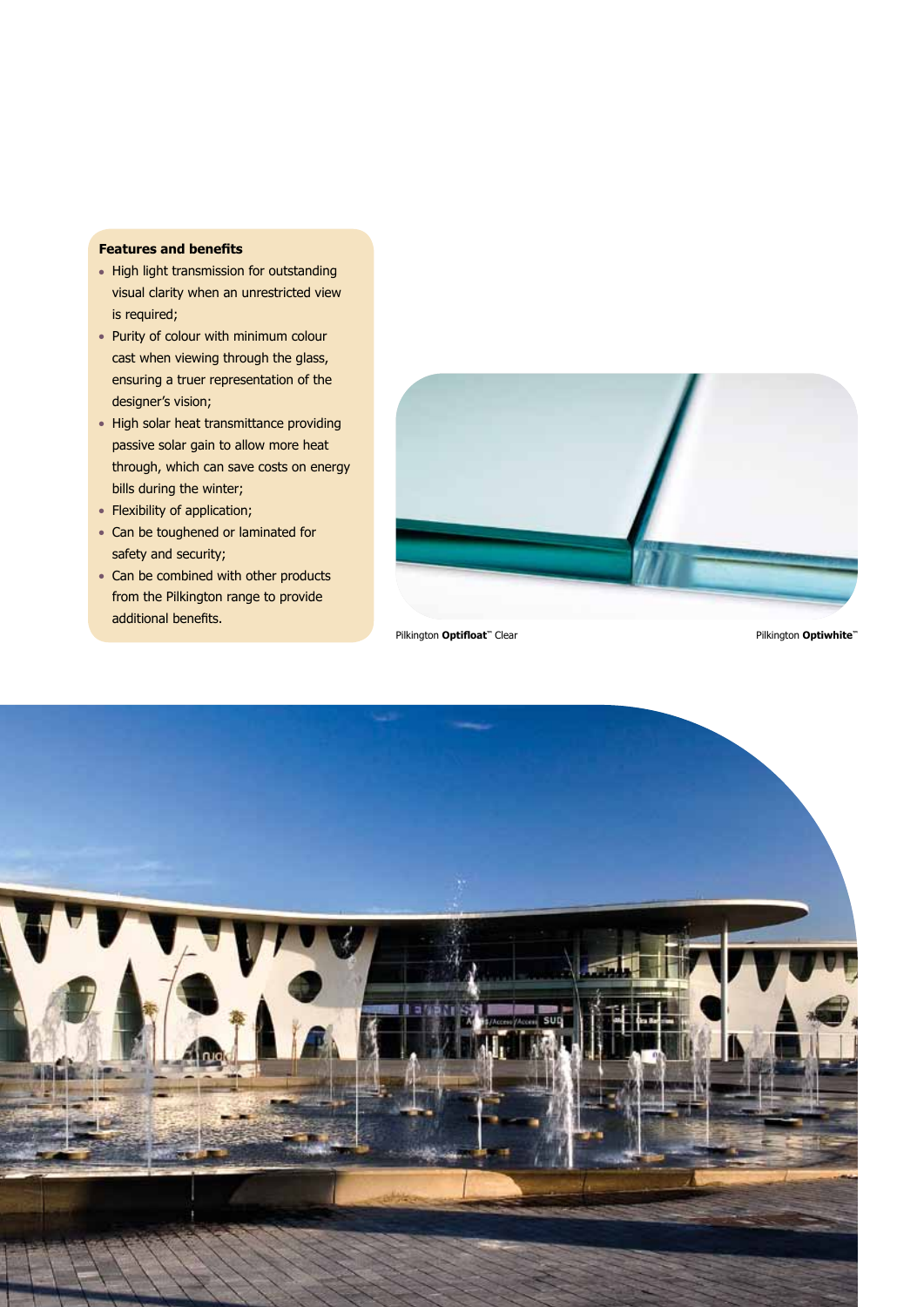### **Features and benefits**

- High light transmission for outstanding visual clarity when an unrestricted view is required;
- Purity of colour with minimum colour cast when viewing through the glass, ensuring a truer representation of the designer's vision;
- High solar heat transmittance providing passive solar gain to allow more heat through, which can save costs on energy bills during the winter;
- Flexibility of application;
- Can be toughened or laminated for safety and security;
- Can be combined with other products from the Pilkington range to provide additional benefits.



Pilkington **Optifloat**<sup>™</sup> Clear **Pilkington Optiwhite**<sup>™</sup>

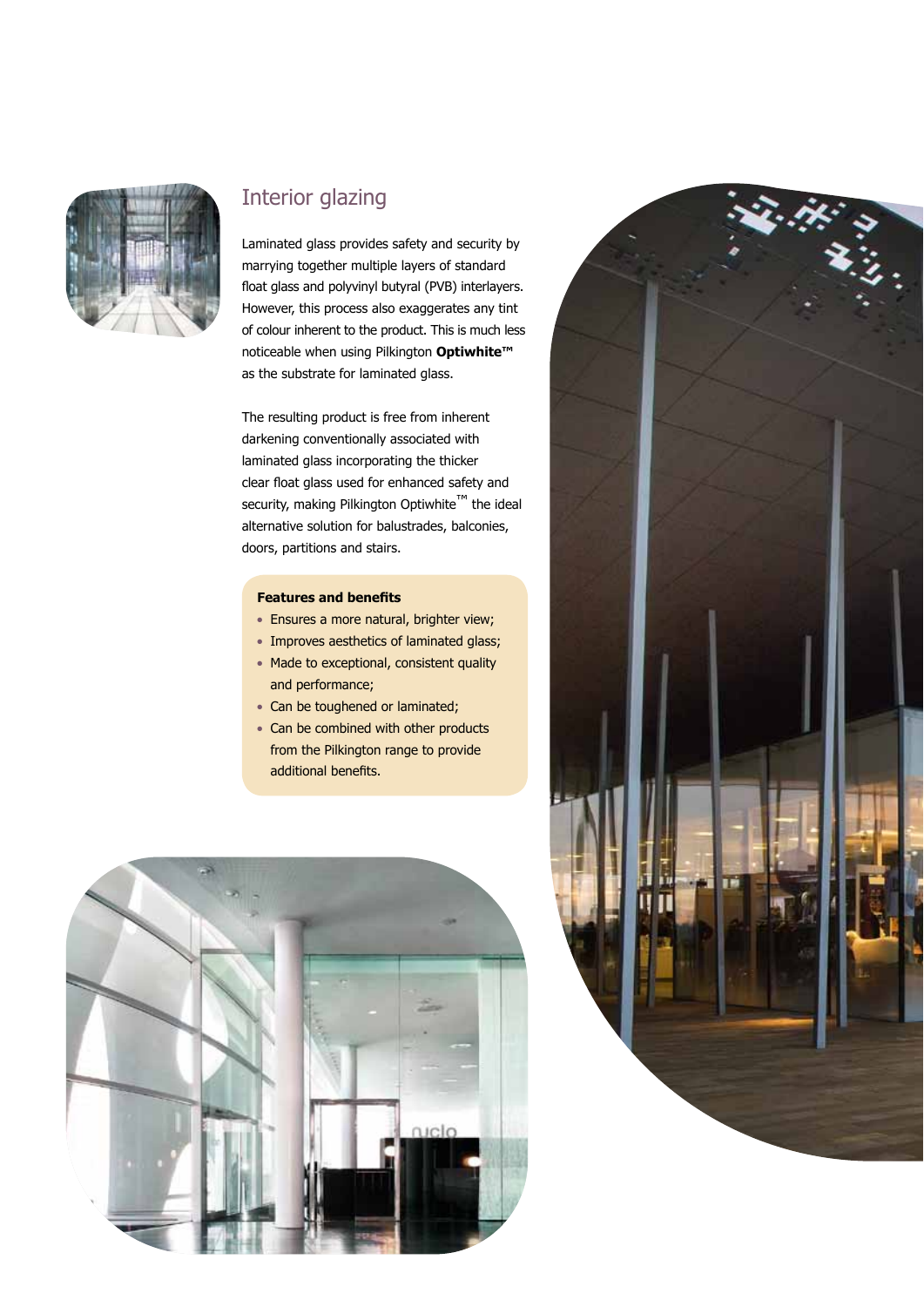

### Interior glazing

Laminated glass provides safety and security by marrying together multiple layers of standard float glass and polyvinyl butyral (PVB) interlayers. However, this process also exaggerates any tint of colour inherent to the product. This is much less noticeable when using Pilkington **Optiwhite™** as the substrate for laminated glass.

The resulting product is free from inherent darkening conventionally associated with laminated glass incorporating the thicker clear float glass used for enhanced safety and security, making Pilkington Optiwhite™ the ideal alternative solution for balustrades, balconies, doors, partitions and stairs.

#### **Features and benefits**

- Ensures a more natural, brighter view;
- **Improves aesthetics of laminated glass;**
- Made to exceptional, consistent quality and performance;
- Can be toughened or laminated;
- Can be combined with other products from the Pilkington range to provide additional benefits.



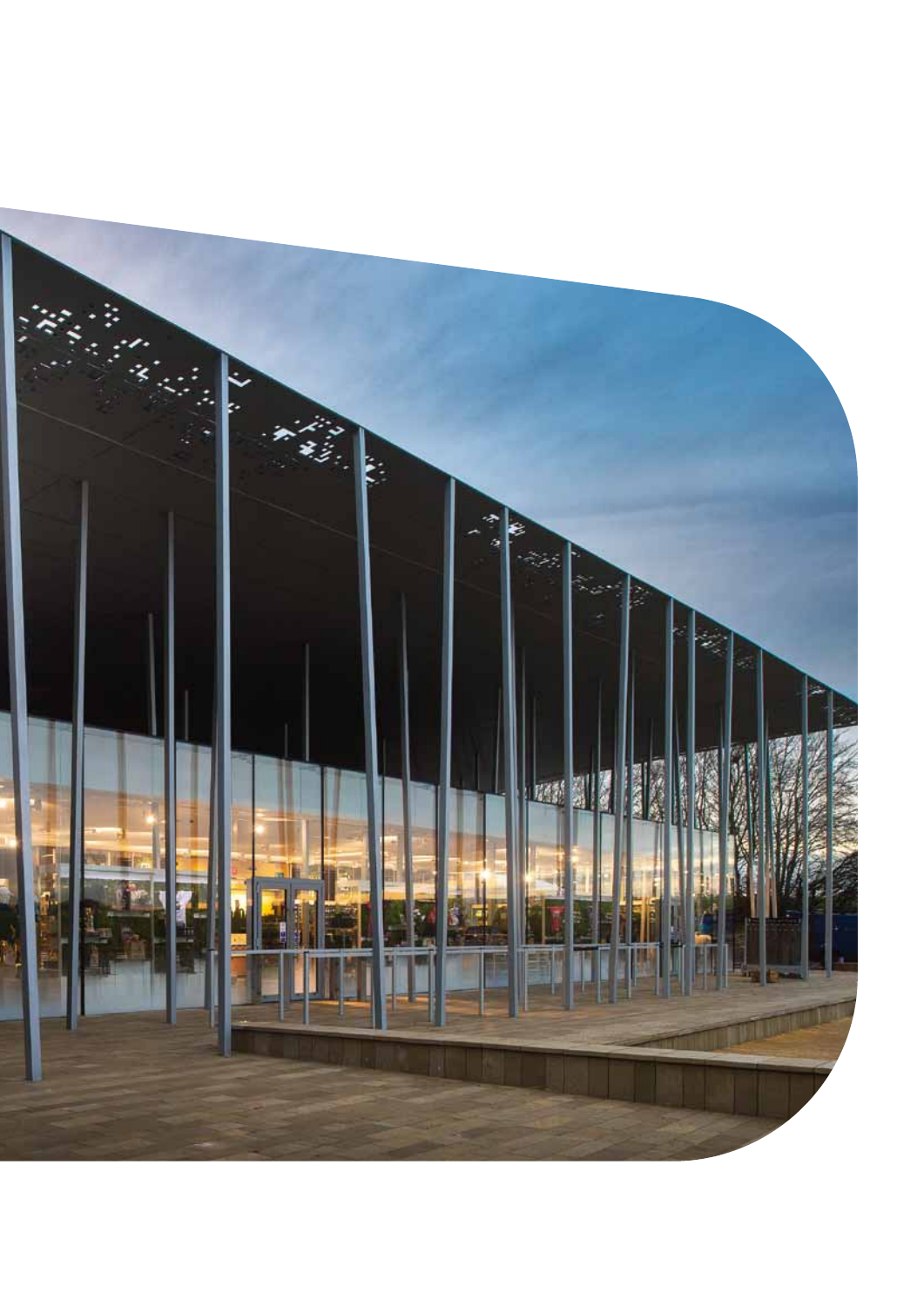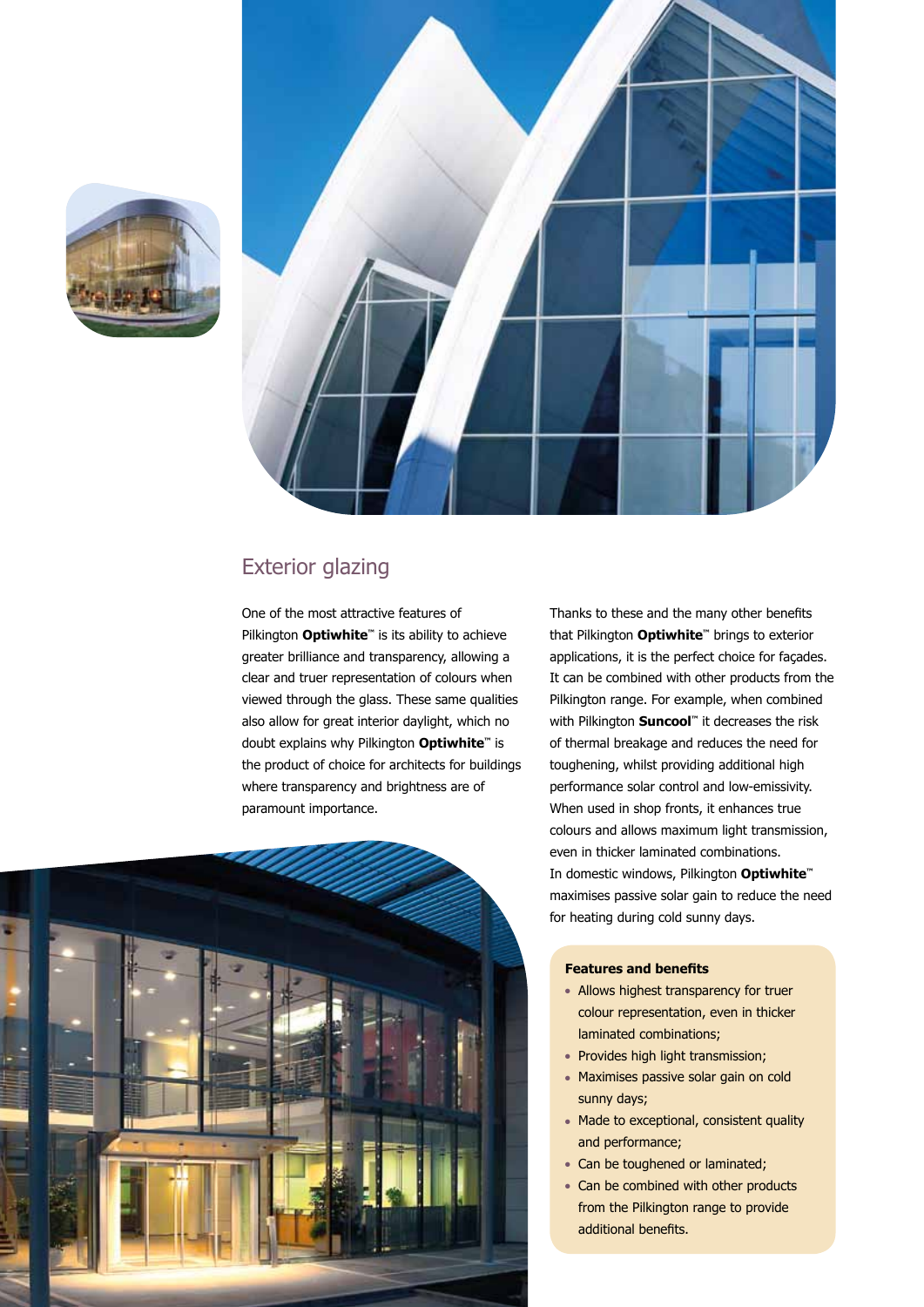



### Exterior glazing

One of the most attractive features of Pilkington **Optiwhite<sup>™</sup>** is its ability to achieve greater brilliance and transparency, allowing a clear and truer representation of colours when viewed through the glass. These same qualities also allow for great interior daylight, which no doubt explains why Pilkington **Optiwhite™** is the product of choice for architects for buildings where transparency and brightness are of paramount importance.



Thanks to these and the many other benefits that Pilkington **Optiwhite™** brings to exterior applications, it is the perfect choice for façades. It can be combined with other products from the Pilkington range. For example, when combined with Pilkington **Suncool™** it decreases the risk of thermal breakage and reduces the need for toughening, whilst providing additional high performance solar control and low-emissivity. When used in shop fronts, it enhances true colours and allows maximum light transmission, even in thicker laminated combinations. In domestic windows, Pilkington **Optiwhite™** maximises passive solar gain to reduce the need for heating during cold sunny days.

### **Features and benefits**

- Allows highest transparency for truer colour representation, even in thicker laminated combinations;
- Provides high light transmission;
- Maximises passive solar gain on cold sunny days;
- Made to exceptional, consistent quality and performance;
- Can be toughened or laminated;
- Can be combined with other products from the Pilkington range to provide additional benefits.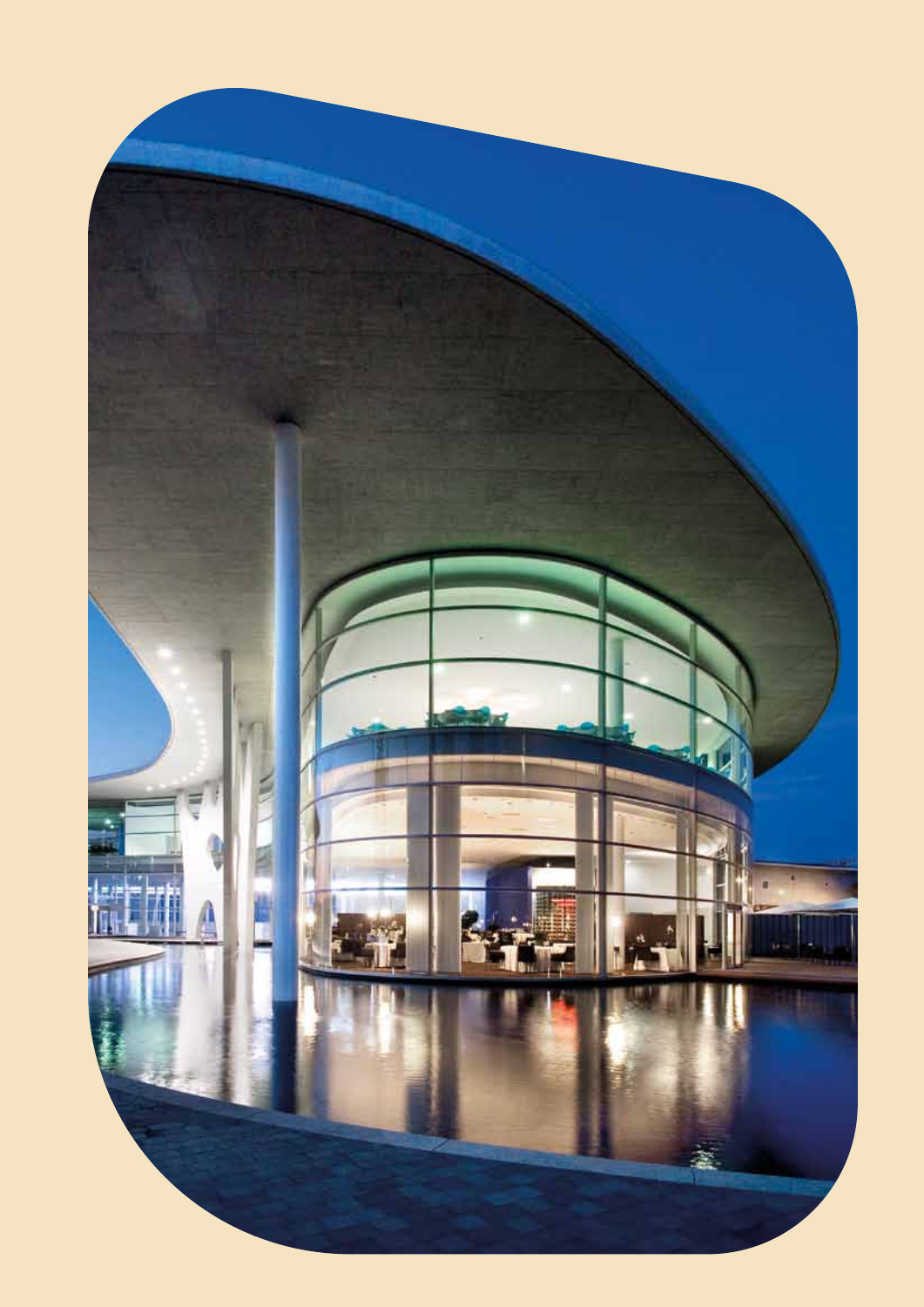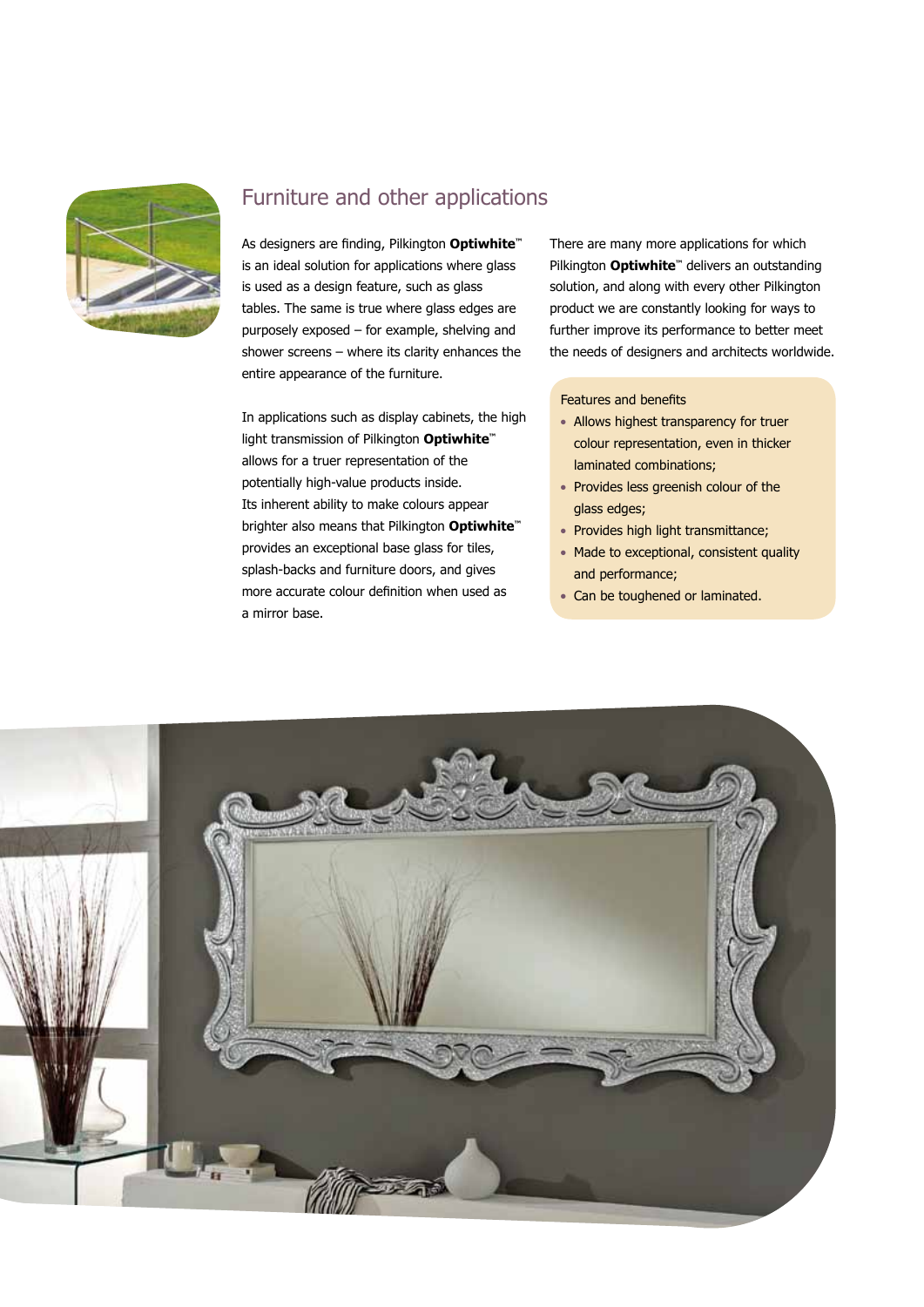

### Furniture and other applications

As designers are finding, Pilkington **Optiwhite™** is an ideal solution for applications where glass is used as a design feature, such as glass tables. The same is true where glass edges are purposely exposed – for example, shelving and shower screens – where its clarity enhances the entire appearance of the furniture.

In applications such as display cabinets, the high light transmission of Pilkington **Optiwhite™** allows for a truer representation of the potentially high-value products inside. Its inherent ability to make colours appear brighter also means that Pilkington **Optiwhite™** provides an exceptional base glass for tiles, splash-backs and furniture doors, and gives more accurate colour definition when used as a mirror base.

There are many more applications for which Pilkington **Optiwhite™** delivers an outstanding solution, and along with every other Pilkington product we are constantly looking for ways to further improve its performance to better meet the needs of designers and architects worldwide.

#### Features and benefits

- Allows highest transparency for truer colour representation, even in thicker laminated combinations;
- Provides less greenish colour of the glass edges;
- Provides high light transmittance;
- Made to exceptional, consistent quality and performance;
- Can be toughened or laminated.

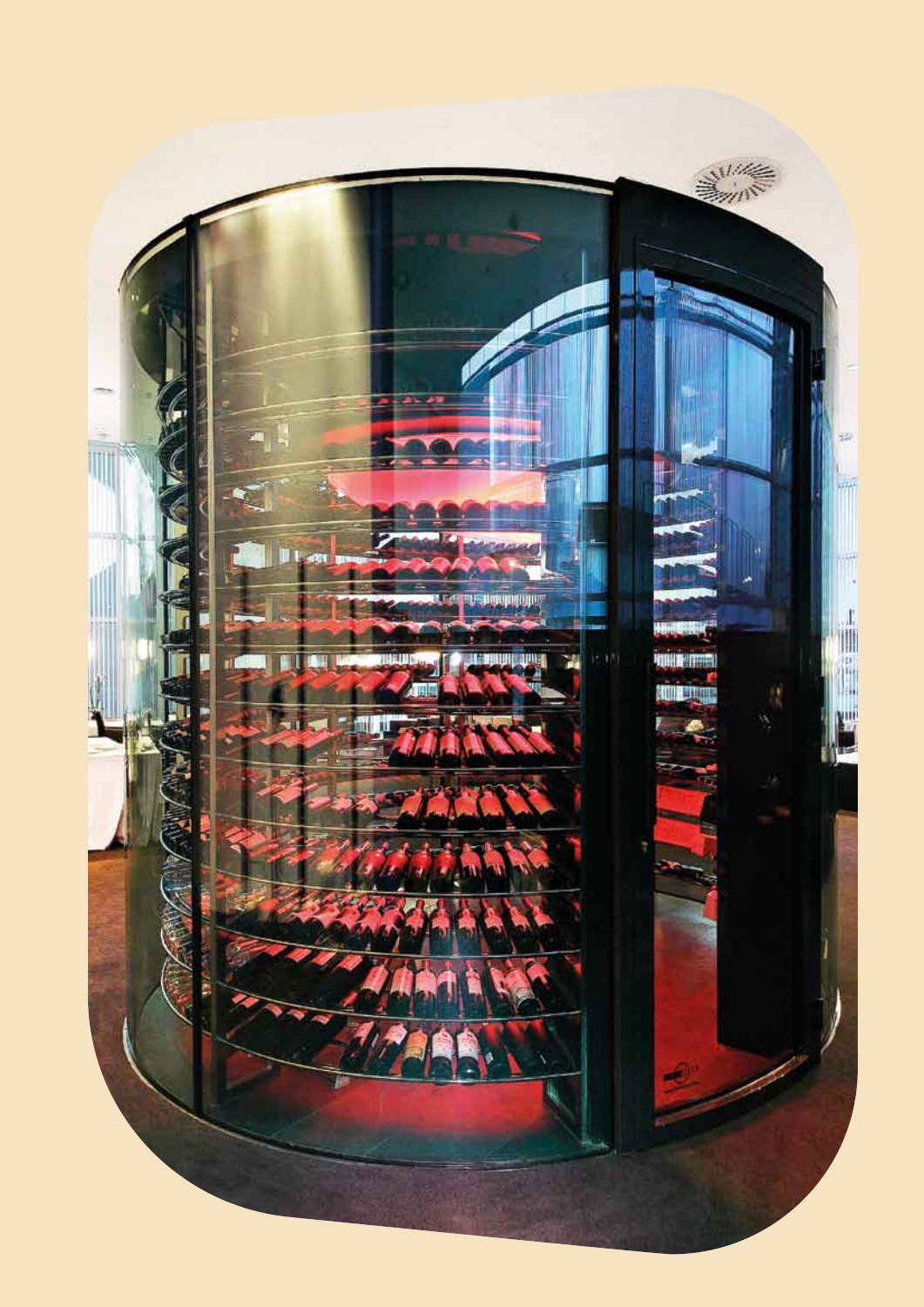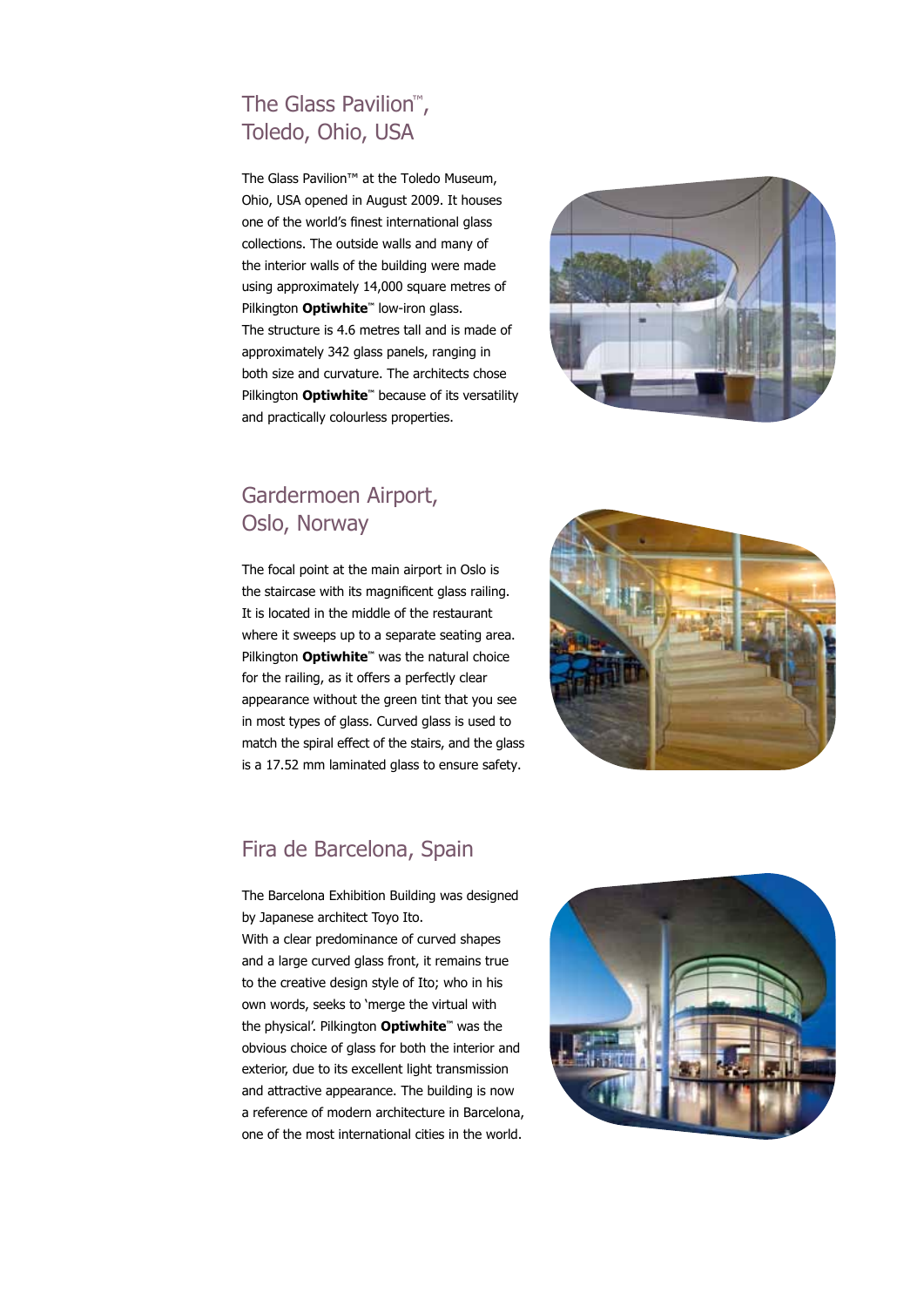# The Glass Pavilion™, Toledo, Ohio, USA

The Glass Pavilion™ at the Toledo Museum, Ohio, USA opened in August 2009. It houses one of the world's finest international glass collections. The outside walls and many of the interior walls of the building were made using approximately 14,000 square metres of Pilkington **Optiwhite<sup>™</sup> low-iron glass.** The structure is 4.6 metres tall and is made of approximately 342 glass panels, ranging in both size and curvature. The architects chose Pilkington **Optiwhite™** because of its versatility and practically colourless properties.



## Gardermoen Airport, Oslo, Norway

The focal point at the main airport in Oslo is the staircase with its magnificent glass railing. It is located in the middle of the restaurant where it sweeps up to a separate seating area. Pilkington **Optiwhite™** was the natural choice for the railing, as it offers a perfectly clear appearance without the green tint that you see in most types of glass. Curved glass is used to match the spiral effect of the stairs, and the glass is a 17.52 mm laminated glass to ensure safety.



### Fira de Barcelona, Spain

The Barcelona Exhibition Building was designed by Japanese architect Toyo Ito.

With a clear predominance of curved shapes and a large curved glass front, it remains true to the creative design style of Ito; who in his own words, seeks to 'merge the virtual with the physical'. Pilkington **Optiwhite™** was the obvious choice of glass for both the interior and exterior, due to its excellent light transmission and attractive appearance. The building is now a reference of modern architecture in Barcelona, one of the most international cities in the world.

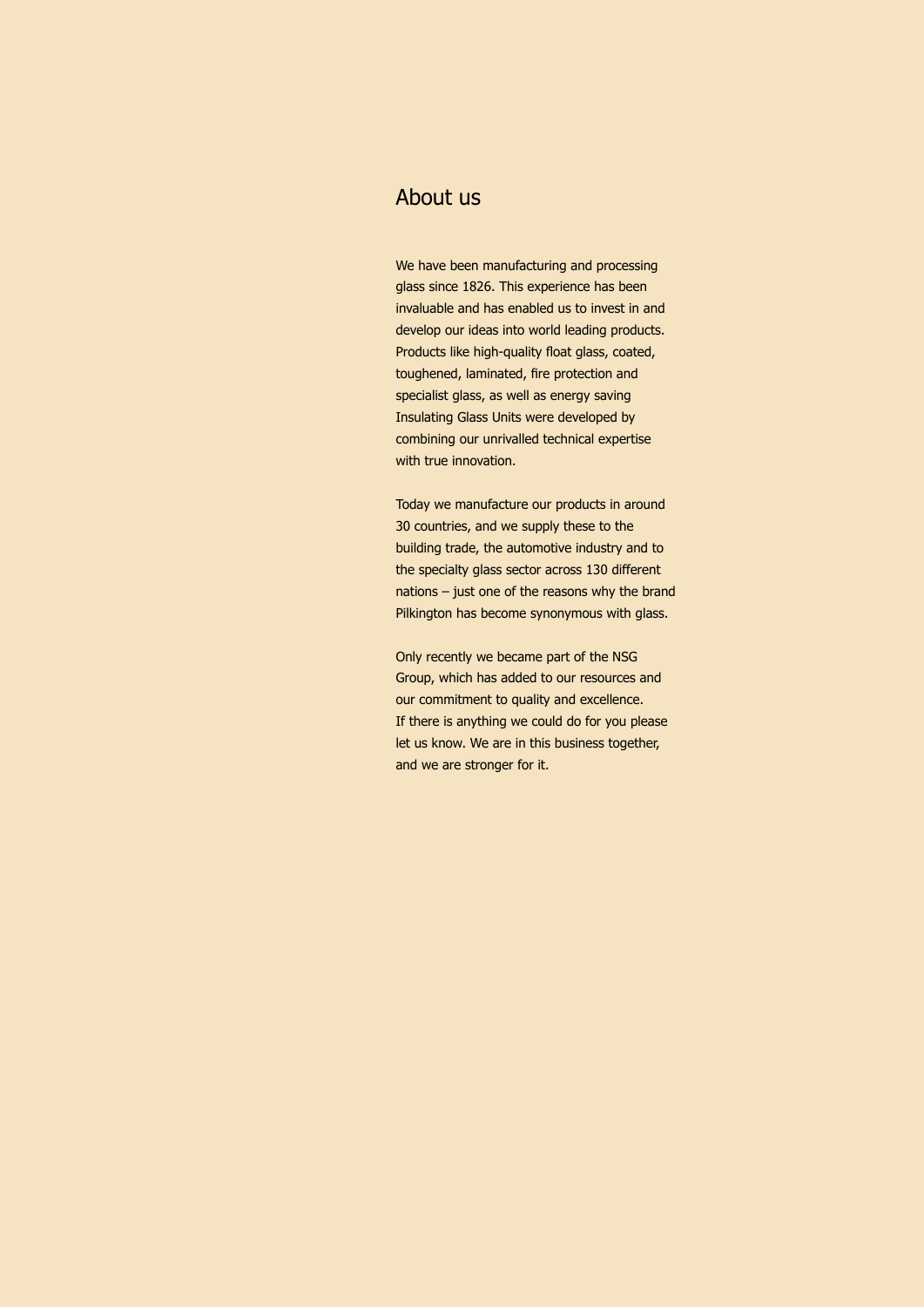### About us

We have been manufacturing and processing glass since 1826. This experience has been invaluable and has enabled us to invest in and develop our ideas into world leading products. Products like high-quality float glass, coated, toughened, laminated, fire protection and specialist glass, as well as energy saving Insulating Glass Units were developed by combining our unrivalled technical expertise with true innovation.

Today we manufacture our products in around 30 countries, and we supply these to the building trade, the automotive industry and to the specialty glass sector across 130 different nations – just one of the reasons why the brand Pilkington has become synonymous with glass.

Only recently we became part of the NSG Group, which has added to our resources and our commitment to quality and excellence. If there is anything we could do for you please let us know. We are in this business together, and we are stronger for it.